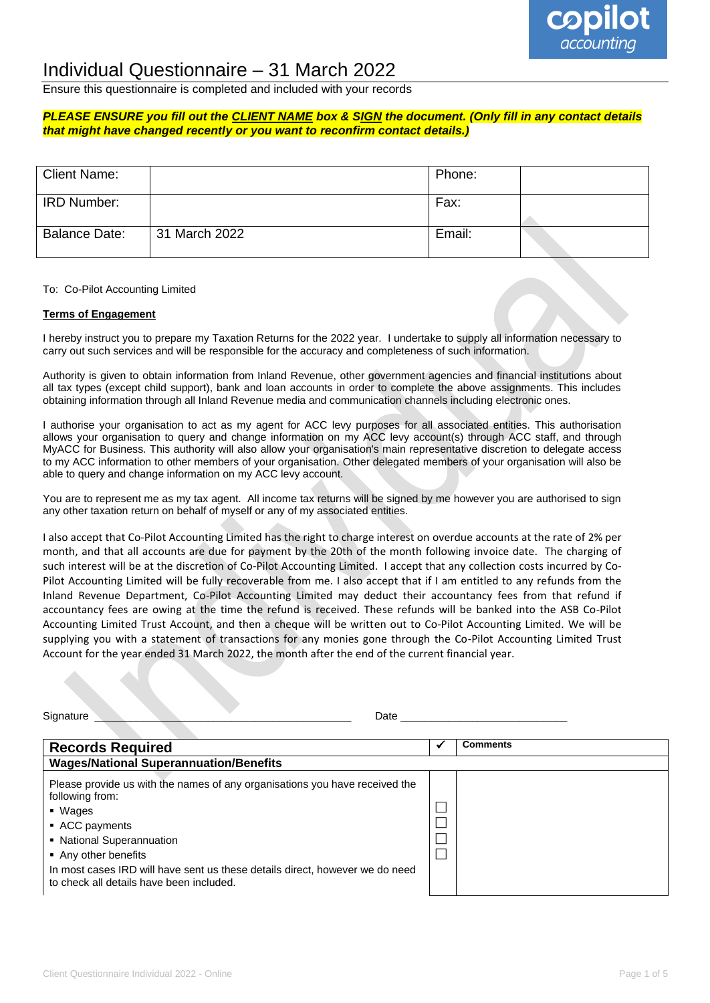

## Individual Questionnaire – 31 March 2022

Ensure this questionnaire is completed and included with your records

#### *PLEASE ENSURE you fill out the CLIENT NAME box & SIGN the document. (Only fill in any contact details that might have changed recently or you want to reconfirm contact details.)*

| Client Name:         |               | Phone: |  |
|----------------------|---------------|--------|--|
| IRD Number:          |               | Fax:   |  |
| <b>Balance Date:</b> | 31 March 2022 | Email: |  |

#### To: Co-Pilot Accounting Limited

#### **Terms of Engagement**

I hereby instruct you to prepare my Taxation Returns for the 2022 year. I undertake to supply all information necessary to carry out such services and will be responsible for the accuracy and completeness of such information.

Authority is given to obtain information from Inland Revenue, other government agencies and financial institutions about all tax types (except child support), bank and loan accounts in order to complete the above assignments. This includes obtaining information through all Inland Revenue media and communication channels including electronic ones.

I authorise your organisation to act as my agent for ACC levy purposes for all associated entities. This authorisation allows your organisation to query and change information on my ACC levy account(s) through ACC staff, and through MyACC for Business. This authority will also allow your organisation's main representative discretion to delegate access to my ACC information to other members of your organisation. Other delegated members of your organisation will also be able to query and change information on my ACC levy account.

You are to represent me as my tax agent. All income tax returns will be signed by me however you are authorised to sign any other taxation return on behalf of myself or any of my associated entities.

I also accept that Co-Pilot Accounting Limited has the right to charge interest on overdue accounts at the rate of 2% per month, and that all accounts are due for payment by the 20th of the month following invoice date. The charging of such interest will be at the discretion of Co-Pilot Accounting Limited. I accept that any collection costs incurred by Co-Pilot Accounting Limited will be fully recoverable from me. I also accept that if I am entitled to any refunds from the Inland Revenue Department, Co-Pilot Accounting Limited may deduct their accountancy fees from that refund if accountancy fees are owing at the time the refund is received. These refunds will be banked into the ASB Co-Pilot Accounting Limited Trust Account, and then a cheque will be written out to Co-Pilot Accounting Limited. We will be supplying you with a statement of transactions for any monies gone through the Co-Pilot Accounting Limited Trust Account for the year ended 31 March 2022, the month after the end of the current financial year.

| Signature<br>Date                                                                                                                                                                                                                                                                                            |                 |
|--------------------------------------------------------------------------------------------------------------------------------------------------------------------------------------------------------------------------------------------------------------------------------------------------------------|-----------------|
| <b>Records Required</b>                                                                                                                                                                                                                                                                                      | <b>Comments</b> |
| <b>Wages/National Superannuation/Benefits</b>                                                                                                                                                                                                                                                                |                 |
| Please provide us with the names of any organisations you have received the<br>following from:<br>■ Wages<br>• ACC payments<br>• National Superannuation<br>• Any other benefits<br>In most cases IRD will have sent us these details direct, however we do need<br>to check all details have been included. |                 |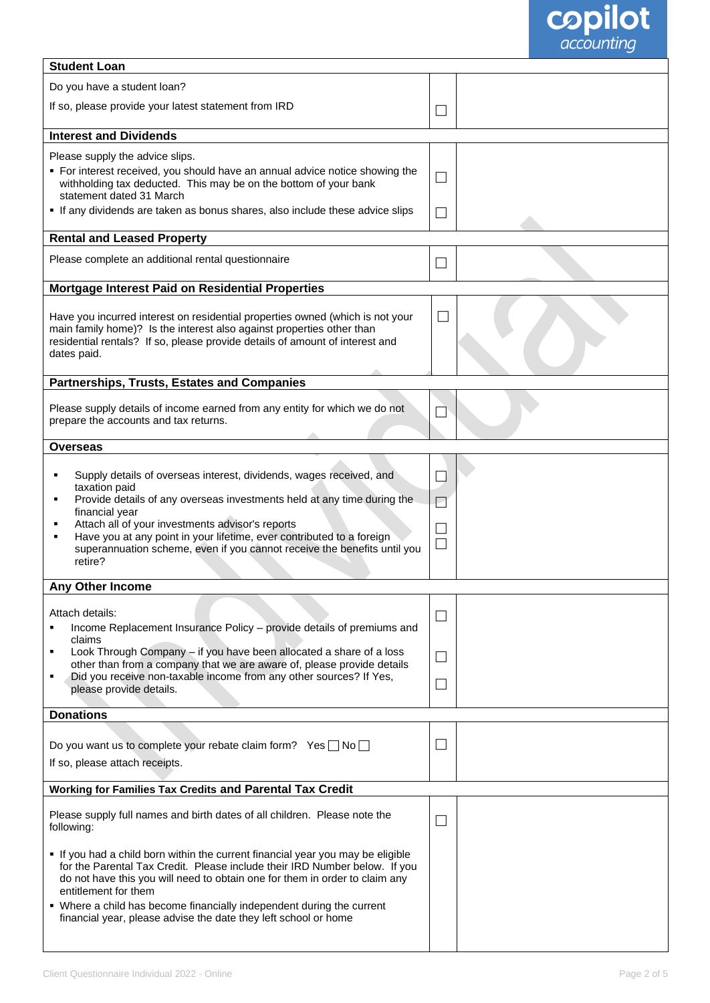

| <b>Student Loan</b>                                                                                                                                                                                                                                                |                             |  |
|--------------------------------------------------------------------------------------------------------------------------------------------------------------------------------------------------------------------------------------------------------------------|-----------------------------|--|
| Do you have a student loan?                                                                                                                                                                                                                                        |                             |  |
| If so, please provide your latest statement from IRD                                                                                                                                                                                                               | ×.                          |  |
| <b>Interest and Dividends</b>                                                                                                                                                                                                                                      |                             |  |
| Please supply the advice slips.<br>• For interest received, you should have an annual advice notice showing the<br>withholding tax deducted. This may be on the bottom of your bank<br>statement dated 31 March                                                    |                             |  |
| If any dividends are taken as bonus shares, also include these advice slips                                                                                                                                                                                        |                             |  |
| <b>Rental and Leased Property</b>                                                                                                                                                                                                                                  |                             |  |
| Please complete an additional rental questionnaire                                                                                                                                                                                                                 |                             |  |
| Mortgage Interest Paid on Residential Properties                                                                                                                                                                                                                   |                             |  |
| Have you incurred interest on residential properties owned (which is not your<br>main family home)? Is the interest also against properties other than<br>residential rentals? If so, please provide details of amount of interest and<br>dates paid.              |                             |  |
| <b>Partnerships, Trusts, Estates and Companies</b>                                                                                                                                                                                                                 |                             |  |
| Please supply details of income earned from any entity for which we do not<br>prepare the accounts and tax returns.                                                                                                                                                |                             |  |
| <b>Overseas</b>                                                                                                                                                                                                                                                    |                             |  |
| Supply details of overseas interest, dividends, wages received, and<br>٠<br>taxation paid<br>Provide details of any overseas investments held at any time during the<br>financial year                                                                             | ×<br>Ł                      |  |
| Attach all of your investments advisor's reports<br>٠<br>Have you at any point in your lifetime, ever contributed to a foreign<br>superannuation scheme, even if you cannot receive the benefits until you<br>retire?                                              |                             |  |
| Any Other Income                                                                                                                                                                                                                                                   |                             |  |
| Attach details:<br>Income Replacement Insurance Policy - provide details of premiums and<br>٠<br>claims                                                                                                                                                            | $\mathcal{L}_{\mathcal{A}}$ |  |
| Look Through Company - if you have been allocated a share of a loss<br>٠<br>other than from a company that we are aware of, please provide details                                                                                                                 |                             |  |
| Did you receive non-taxable income from any other sources? If Yes,<br>٠<br>please provide details.                                                                                                                                                                 | ×.                          |  |
| <b>Donations</b>                                                                                                                                                                                                                                                   |                             |  |
| Do you want us to complete your rebate claim form? Yes $\Box$ No $\Box$<br>If so, please attach receipts.                                                                                                                                                          | $\overline{\phantom{a}}$    |  |
| <b>Working for Families Tax Credits and Parental Tax Credit</b>                                                                                                                                                                                                    |                             |  |
| Please supply full names and birth dates of all children. Please note the<br>following:                                                                                                                                                                            |                             |  |
| If you had a child born within the current financial year you may be eligible<br>for the Parental Tax Credit. Please include their IRD Number below. If you<br>do not have this you will need to obtain one for them in order to claim any<br>entitlement for them |                             |  |
| • Where a child has become financially independent during the current<br>financial year, please advise the date they left school or home                                                                                                                           |                             |  |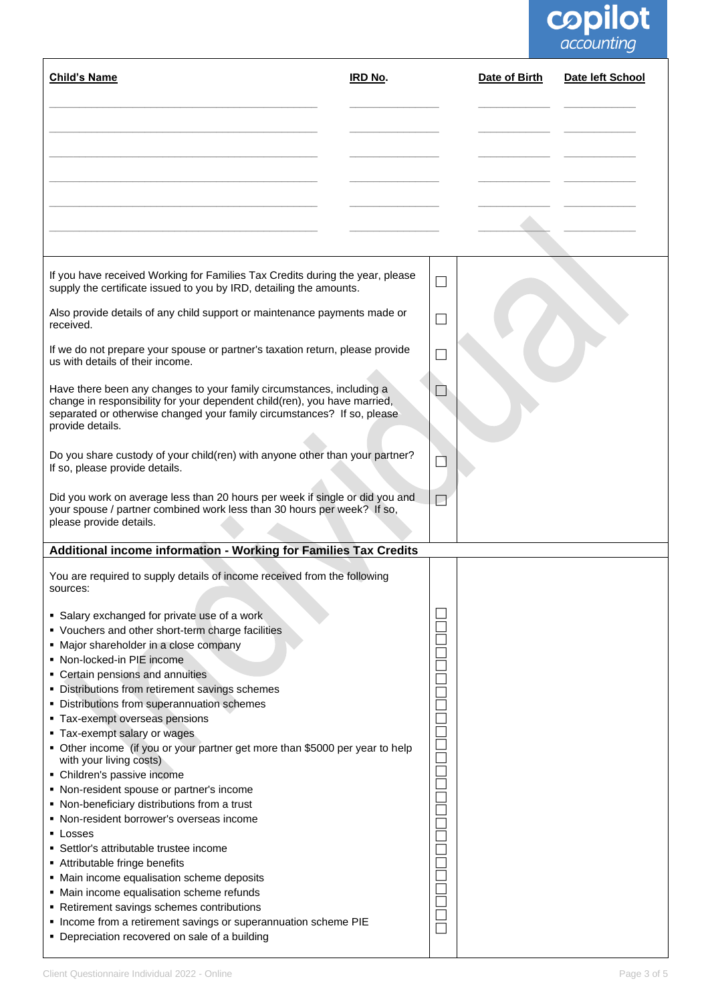# **copilot**

| <b>Child's Name</b>                                                                                                                                                                                                                                                                                                                                                                                                                                                                                                                                                                                                                                                                                                                       | <b>IRD No.</b> |                          | Date of Birth | Date left School |
|-------------------------------------------------------------------------------------------------------------------------------------------------------------------------------------------------------------------------------------------------------------------------------------------------------------------------------------------------------------------------------------------------------------------------------------------------------------------------------------------------------------------------------------------------------------------------------------------------------------------------------------------------------------------------------------------------------------------------------------------|----------------|--------------------------|---------------|------------------|
|                                                                                                                                                                                                                                                                                                                                                                                                                                                                                                                                                                                                                                                                                                                                           |                |                          |               |                  |
|                                                                                                                                                                                                                                                                                                                                                                                                                                                                                                                                                                                                                                                                                                                                           |                |                          |               |                  |
|                                                                                                                                                                                                                                                                                                                                                                                                                                                                                                                                                                                                                                                                                                                                           |                |                          |               |                  |
| If you have received Working for Families Tax Credits during the year, please<br>supply the certificate issued to you by IRD, detailing the amounts.                                                                                                                                                                                                                                                                                                                                                                                                                                                                                                                                                                                      |                | $\Box$                   |               |                  |
| Also provide details of any child support or maintenance payments made or<br>received.                                                                                                                                                                                                                                                                                                                                                                                                                                                                                                                                                                                                                                                    |                | $\overline{\phantom{a}}$ |               |                  |
| If we do not prepare your spouse or partner's taxation return, please provide<br>us with details of their income.                                                                                                                                                                                                                                                                                                                                                                                                                                                                                                                                                                                                                         |                |                          |               |                  |
| Have there been any changes to your family circumstances, including a<br>change in responsibility for your dependent child(ren), you have married,<br>separated or otherwise changed your family circumstances? If so, please<br>provide details.                                                                                                                                                                                                                                                                                                                                                                                                                                                                                         |                |                          |               |                  |
| Do you share custody of your child(ren) with anyone other than your partner?<br>If so, please provide details.                                                                                                                                                                                                                                                                                                                                                                                                                                                                                                                                                                                                                            |                |                          |               |                  |
| Did you work on average less than 20 hours per week if single or did you and<br>your spouse / partner combined work less than 30 hours per week? If so,<br>please provide details.                                                                                                                                                                                                                                                                                                                                                                                                                                                                                                                                                        |                |                          |               |                  |
| Additional income information - Working for Families Tax Credits                                                                                                                                                                                                                                                                                                                                                                                                                                                                                                                                                                                                                                                                          |                |                          |               |                  |
| You are required to supply details of income received from the following<br>sources:                                                                                                                                                                                                                                                                                                                                                                                                                                                                                                                                                                                                                                                      |                |                          |               |                  |
| • Salary exchanged for private use of a work<br>• Vouchers and other short-term charge facilities<br>• Major shareholder in a close company<br>• Non-locked-in PIE income<br>• Certain pensions and annuities<br>• Distributions from retirement savings schemes<br>• Distributions from superannuation schemes<br>• Tax-exempt overseas pensions<br>• Tax-exempt salary or wages<br>• Other income (if you or your partner get more than \$5000 per year to help<br>with your living costs)<br>• Children's passive income<br>• Non-resident spouse or partner's income<br>• Non-beneficiary distributions from a trust<br>• Non-resident borrower's overseas income<br>$\blacksquare$ Losses<br>• Settlor's attributable trustee income |                |                          |               |                  |
| Attributable fringe benefits<br>• Main income equalisation scheme deposits<br>• Main income equalisation scheme refunds<br>• Retirement savings schemes contributions<br>• Income from a retirement savings or superannuation scheme PIE<br>• Depreciation recovered on sale of a building                                                                                                                                                                                                                                                                                                                                                                                                                                                |                |                          |               |                  |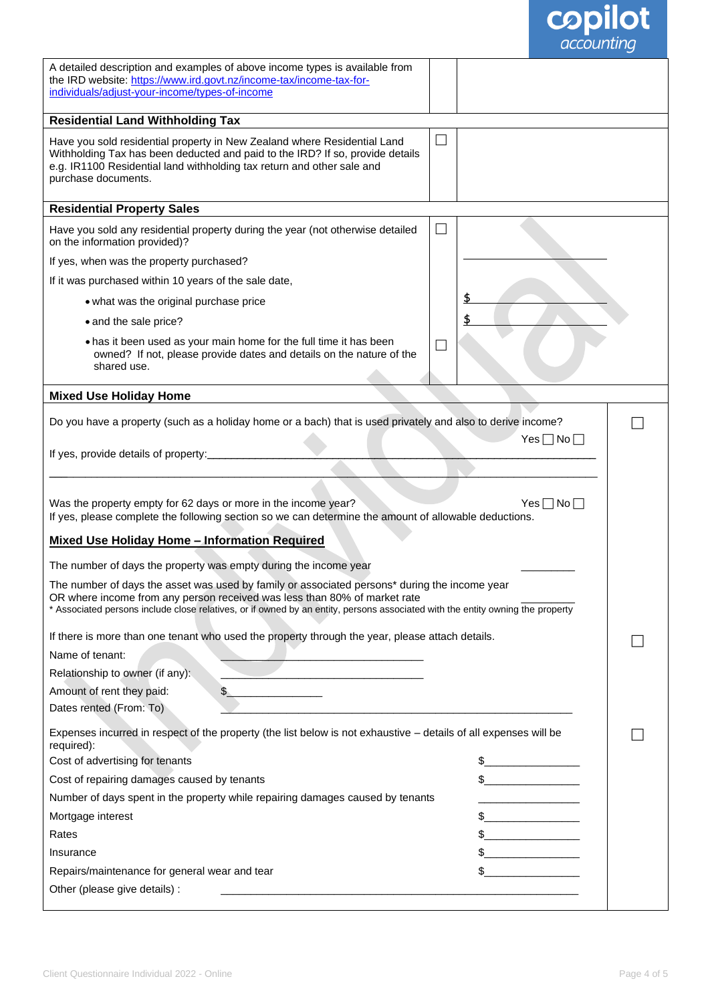| <b>copilot</b>                                                                                                                                                                                                                                                                                               |  |
|--------------------------------------------------------------------------------------------------------------------------------------------------------------------------------------------------------------------------------------------------------------------------------------------------------------|--|
| A detailed description and examples of above income types is available from<br>the IRD website: https://www.ird.govt.nz/income-tax/income-tax-for-<br>individuals/adjust-your-income/types-of-income                                                                                                         |  |
| <b>Residential Land Withholding Tax</b>                                                                                                                                                                                                                                                                      |  |
| Have you sold residential property in New Zealand where Residential Land<br>$\overline{\phantom{a}}$<br>Withholding Tax has been deducted and paid to the IRD? If so, provide details<br>e.g. IR1100 Residential land withholding tax return and other sale and<br>purchase documents.                       |  |
| <b>Residential Property Sales</b>                                                                                                                                                                                                                                                                            |  |
| Have you sold any residential property during the year (not otherwise detailed<br>on the information provided)?                                                                                                                                                                                              |  |
| If yes, when was the property purchased?                                                                                                                                                                                                                                                                     |  |
| If it was purchased within 10 years of the sale date,                                                                                                                                                                                                                                                        |  |
| • what was the original purchase price                                                                                                                                                                                                                                                                       |  |
| • and the sale price?                                                                                                                                                                                                                                                                                        |  |
| . has it been used as your main home for the full time it has been<br>owned? If not, please provide dates and details on the nature of the<br>shared use.                                                                                                                                                    |  |
| <b>Mixed Use Holiday Home</b>                                                                                                                                                                                                                                                                                |  |
| Do you have a property (such as a holiday home or a bach) that is used privately and also to derive income?                                                                                                                                                                                                  |  |
| $Yes \Box No \Box$<br>If yes, provide details of property:_                                                                                                                                                                                                                                                  |  |
| Was the property empty for 62 days or more in the income year?<br>$Yes \Box No \Box$<br>If yes, please complete the following section so we can determine the amount of allowable deductions.                                                                                                                |  |
| <b>Mixed Use Holiday Home - Information Required</b>                                                                                                                                                                                                                                                         |  |
| The number of days the property was empty during the income year                                                                                                                                                                                                                                             |  |
| The number of days the asset was used by family or associated persons* during the income year<br>OR where income from any person received was less than 80% of market rate<br>* Associated persons include close relatives, or if owned by an entity, persons associated with the entity owning the property |  |
| If there is more than one tenant who used the property through the year, please attach details.                                                                                                                                                                                                              |  |
| Name of tenant:                                                                                                                                                                                                                                                                                              |  |
| Relationship to owner (if any):<br>the control of the control of the control of the control of                                                                                                                                                                                                               |  |
| Amount of rent they paid:<br>$\sim$<br>Dates rented (From: To)                                                                                                                                                                                                                                               |  |
| Expenses incurred in respect of the property (the list below is not exhaustive - details of all expenses will be<br>required):                                                                                                                                                                               |  |
| Cost of advertising for tenants                                                                                                                                                                                                                                                                              |  |
| $\frac{1}{2}$<br>Cost of repairing damages caused by tenants                                                                                                                                                                                                                                                 |  |
| Number of days spent in the property while repairing damages caused by tenants<br><u> 1990 - Johann Barnett, fransk politiker (</u>                                                                                                                                                                          |  |
| Mortgage interest<br>$\frac{1}{2}$                                                                                                                                                                                                                                                                           |  |
| $\frac{1}{2}$<br>Rates                                                                                                                                                                                                                                                                                       |  |
| Insurance<br><u> 1990 - Johann Barnett, fransk politiker (</u>                                                                                                                                                                                                                                               |  |
| Repairs/maintenance for general wear and tear                                                                                                                                                                                                                                                                |  |
| Other (please give details) :                                                                                                                                                                                                                                                                                |  |